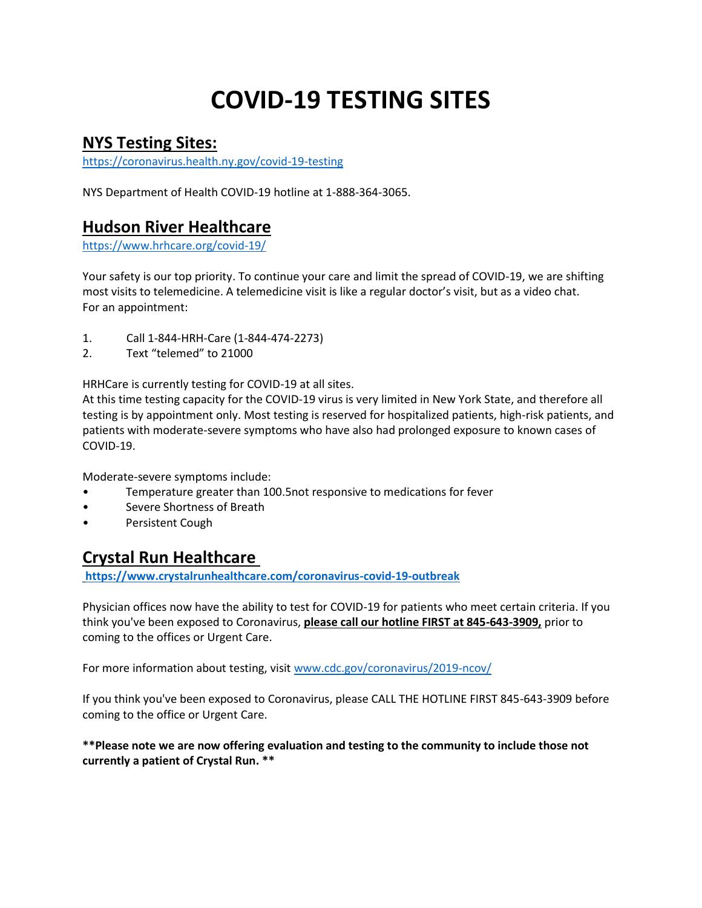# **COVID-19 TESTING SITES**

## **NYS Testing Sites:**

<https://coronavirus.health.ny.gov/covid-19-testing>

NYS Department of Health COVID-19 hotline at 1-888-364-3065.

### **Hudson River Healthcare**

<https://www.hrhcare.org/covid-19/>

Your safety is our top priority. To continue your care and limit the spread of COVID-19, we are shifting most visits to telemedicine. A telemedicine visit is like a regular doctor's visit, but as a video chat. For an appointment:

- 1. Call 1-844-HRH-Care (1-844-474-2273)
- 2. Text "telemed" to 21000

HRHCare is currently testing for COVID-19 at all sites.

At this time testing capacity for the COVID-19 virus is very limited in New York State, and therefore all testing is by appointment only. Most testing is reserved for hospitalized patients, high-risk patients, and patients with moderate-severe symptoms who have also had prolonged exposure to known cases of COVID-19.

Moderate-severe symptoms include:

- Temperature greater than 100.5not responsive to medications for fever
- Severe Shortness of Breath
- Persistent Cough

### **Crystal Run Healthcare**

**<https://www.crystalrunhealthcare.com/coronavirus-covid-19-outbreak>**

Physician offices now have the ability to test for COVID-19 for patients who meet certain criteria. If you think you've been exposed to Coronavirus, **please call our hotline FIRST at 845-643-3909,** prior to coming to the offices or Urgent Care.

For more information about testing, visit [www.cdc.gov/coronavirus/2019-ncov/](http://www.cdc.gov/coronavirus/2019-ncov/)

If you think you've been exposed to Coronavirus, please CALL THE HOTLINE FIRST 845-643-3909 before coming to the office or Urgent Care.

**\*\*Please note we are now offering evaluation and testing to the community to include those not currently a patient of Crystal Run. \*\***